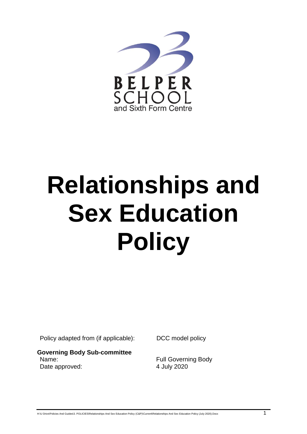

# **Relationships and Sex Education Policy**

Policy adapted from (if applicable): DCC model policy

**Governing Body Sub-committee** Name: Name: Name: Full Governing Body Date approved: 4 July 2020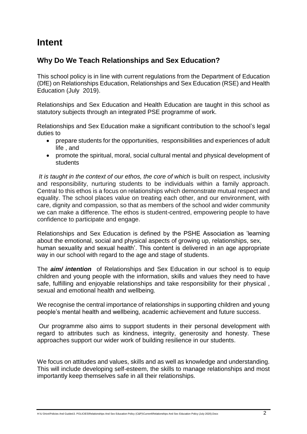# **Intent**

## **Why Do We Teach Relationships and Sex Education?**

This school policy is in line with current regulations from the Department of Education (DfE) on Relationships Education, Relationships and Sex Education (RSE) and Health Education (July 2019).

Relationships and Sex Education and Health Education are taught in this school as statutory subjects through an integrated PSE programme of work.

Relationships and Sex Education make a significant contribution to the school's legal duties to

- prepare students for the opportunities, responsibilities and experiences of adult life , and
- promote the spiritual, moral, social cultural mental and physical development of students

*It is taught in the context of our ethos, the core of which* is built on respect, inclusivity and responsibility, nurturing students to be individuals within a family approach. Central to this ethos is a focus on relationships which demonstrate mutual respect and equality. The school places value on treating each other, and our environment, with care, dignity and compassion, so that as members of the school and wider community we can make a difference. The ethos is student-centred, empowering people to have confidence to participate and engage.

Relationships and Sex Education is defined by the PSHE Association as 'learning about the emotional, social and physical aspects of growing up, relationships, sex, human sexuality and sexual health'. This content is delivered in an age appropriate way in our school with regard to the age and stage of students.

The *aim/ intention* of Relationships and Sex Education in our school is to equip children and young people with the information, skills and values they need to have safe, fulfilling and enjoyable relationships and take responsibility for their physical , sexual and emotional health and wellbeing.

We recognise the central importance of relationships in supporting children and young people's mental health and wellbeing, academic achievement and future success.

Our programme also aims to support students in their personal development with regard to attributes such as kindness, integrity, generosity and honesty. These approaches support our wider work of building resilience in our students.

We focus on attitudes and values, skills and as well as knowledge and understanding. This will include developing self-esteem, the skills to manage relationships and most importantly keep themselves safe in all their relationships.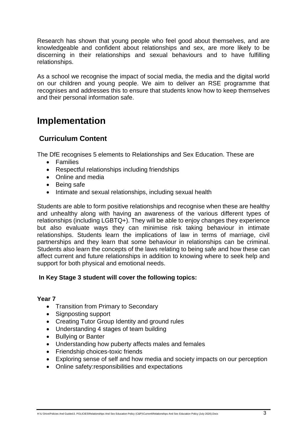Research has shown that young people who feel good about themselves, and are knowledgeable and confident about relationships and sex, are more likely to be discerning in their relationships and sexual behaviours and to have fulfilling relationships.

As a school we recognise the impact of social media, the media and the digital world on our children and young people. We aim to deliver an RSE programme that recognises and addresses this to ensure that students know how to keep themselves and their personal information safe.

## **Implementation**

## **Curriculum Content**

The DfE recognises 5 elements to Relationships and Sex Education. These are

- Families
- Respectful relationships including friendships
- Online and media
- Being safe
- Intimate and sexual relationships, including sexual health

Students are able to form positive relationships and recognise when these are healthy and unhealthy along with having an awareness of the various different types of relationships (including LGBTQ+). They will be able to enjoy changes they experience but also evaluate ways they can minimise risk taking behaviour in intimate relationships. Students learn the implications of law in terms of marriage, civil partnerships and they learn that some behaviour in relationships can be criminal. Students also learn the concepts of the laws relating to being safe and how these can affect current and future relationships in addition to knowing where to seek help and support for both physical and emotional needs.

#### **In Key Stage 3 student will cover the following topics:**

#### **Year 7**

- Transition from Primary to Secondary
- Signposting support
- Creating Tutor Group Identity and ground rules
- Understanding 4 stages of team building
- Bullving or Banter
- Understanding how puberty affects males and females
- Friendship choices-toxic friends
- Exploring sense of self and how media and society impacts on our perception
- Online safety:responsibilities and expectations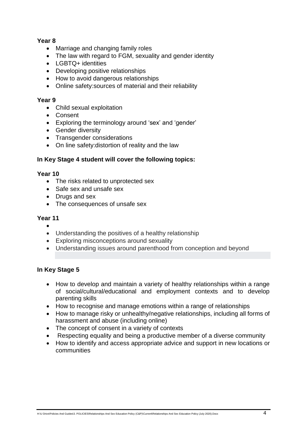#### **Year 8**

- Marriage and changing family roles
- The law with regard to FGM, sexuality and gender identity
- LGBTQ+ identities
- Developing positive relationships
- How to avoid dangerous relationships
- Online safety: sources of material and their reliability

#### **Year 9**

- Child sexual exploitation
- Consent
- Exploring the terminology around 'sex' and 'gender'
- Gender diversity
- Transgender considerations
- On line safety: distortion of reality and the law

#### **In Key Stage 4 student will cover the following topics:**

#### **Year 10**

- The risks related to unprotected sex
- Safe sex and unsafe sex
- Drugs and sex
- The consequences of unsafe sex

#### **Year 11**

- $\bullet$
- Understanding the positives of a healthy relationship
- Exploring misconceptions around sexuality
- Understanding issues around parenthood from conception and beyond

#### **In Key Stage 5**

- How to develop and maintain a variety of healthy relationships within a range of social/cultural/educational and employment contexts and to develop parenting skills
- How to recognise and manage emotions within a range of relationships
- How to manage risky or unhealthy/negative relationships, including all forms of harassment and abuse (including online)
- The concept of consent in a variety of contexts
- Respecting equality and being a productive member of a diverse community
- How to identify and access appropriate advice and support in new locations or communities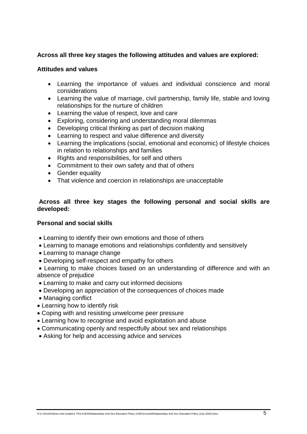#### **Across all three key stages the following attitudes and values are explored:**

#### **Attitudes and values**

- Learning the importance of values and individual conscience and moral considerations
- Learning the value of marriage, civil partnership, family life, stable and loving relationships for the nurture of children
- Learning the value of respect, love and care
- Exploring, considering and understanding moral dilemmas
- Developing critical thinking as part of decision making
- Learning to respect and value difference and diversity
- Learning the implications (social, emotional and economic) of lifestyle choices in relation to relationships and families
- Rights and responsibilities, for self and others
- Commitment to their own safety and that of others
- Gender equality
- That violence and coercion in relationships are unacceptable

#### **Across all three key stages the following personal and social skills are developed:**

#### **Personal and social skills**

- Learning to identify their own emotions and those of others
- Learning to manage emotions and relationships confidently and sensitively
- Learning to manage change
- Developing self-respect and empathy for others

 Learning to make choices based on an understanding of difference and with an absence of prejudice

- Learning to make and carry out informed decisions
- Developing an appreciation of the consequences of choices made
- Managing conflict
- Learning how to identify risk
- Coping with and resisting unwelcome peer pressure
- Learning how to recognise and avoid exploitation and abuse
- Communicating openly and respectfully about sex and relationships
- Asking for help and accessing advice and services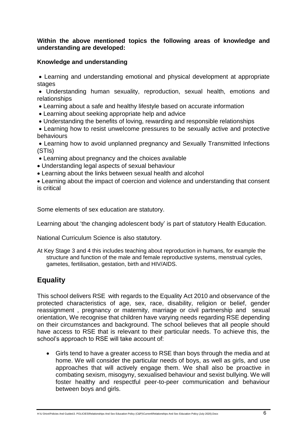#### **Within the above mentioned topics the following areas of knowledge and understanding are developed:**

#### **Knowledge and understanding**

 Learning and understanding emotional and physical development at appropriate stages

 Understanding human sexuality, reproduction, sexual health, emotions and relationships

- Learning about a safe and healthy lifestyle based on accurate information
- Learning about seeking appropriate help and advice
- Understanding the benefits of loving, rewarding and responsible relationships

 Learning how to resist unwelcome pressures to be sexually active and protective behaviours

 Learning how to avoid unplanned pregnancy and Sexually Transmitted Infections (STIs)

- Learning about pregnancy and the choices available
- Understanding legal aspects of sexual behaviour
- Learning about the links between sexual health and alcohol

 Learning about the impact of coercion and violence and understanding that consent is critical

Some elements of sex education are statutory.

Learning about 'the changing adolescent body' is part of statutory Health Education.

National Curriculum Science is also statutory.

At Key Stage 3 and 4 this includes teaching about reproduction in humans, for example the structure and function of the male and female reproductive systems, menstrual cycles, gametes, fertilisation, gestation, birth and HIV/AIDS.

## **Equality**

This school delivers RSE with regards to the Equality Act 2010 and observance of the protected characteristics of age, sex, race, disability, religion or belief, gender reassignment , pregnancy or maternity, marriage or civil partnership and sexual orientation, We recognise that children have varying needs regarding RSE depending on their circumstances and background. The school believes that all people should have access to RSE that is relevant to their particular needs. To achieve this, the school's approach to RSE will take account of:

 Girls tend to have a greater access to RSE than boys through the media and at home. We will consider the particular needs of boys, as well as girls, and use approaches that will actively engage them. We shall also be proactive in combating sexism, misogyny, sexualised behaviour and sexist bullying. We will foster healthy and respectful peer-to-peer communication and behaviour between boys and girls.

H:\U Drive\Policies And Guides\3. POLICIES\Relationships And Sex Education Policy (C&P)\Current\Relationships And Sex Education Policy (July 2020).Docx 6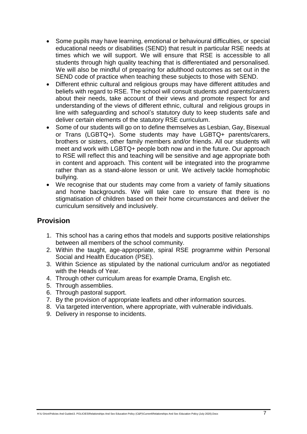- Some pupils may have learning, emotional or behavioural difficulties, or special educational needs or disabilities (SEND) that result in particular RSE needs at times which we will support. We will ensure that RSE is accessible to all students through high quality teaching that is differentiated and personalised. We will also be mindful of preparing for adulthood outcomes as set out in the SEND code of practice when teaching these subjects to those with SEND.
- Different ethnic cultural and religious groups may have different attitudes and beliefs with regard to RSE. The school will consult students and parents/carers about their needs, take account of their views and promote respect for and understanding of the views of different ethnic, cultural and religious groups in line with safeguarding and school's statutory duty to keep students safe and deliver certain elements of the statutory RSE curriculum.
- Some of our students will go on to define themselves as Lesbian, Gay, Bisexual or Trans (LGBTQ+). Some students may have LGBTQ+ parents/carers, brothers or sisters, other family members and/or friends. All our students will meet and work with LGBTQ+ people both now and in the future. Our approach to RSE will reflect this and teaching will be sensitive and age appropriate both in content and approach. This content will be integrated into the programme rather than as a stand-alone lesson or unit. We actively tackle homophobic bullying.
- We recognise that our students may come from a variety of family situations and home backgrounds. We will take care to ensure that there is no stigmatisation of children based on their home circumstances and deliver the curriculum sensitively and inclusively.

## **Provision**

- 1. This school has a caring ethos that models and supports positive relationships between all members of the school community.
- 2. Within the taught, age-appropriate, spiral RSE programme within Personal Social and Health Education (PSE).
- 3. Within Science as stipulated by the national curriculum and/or as negotiated with the Heads of Year.
- 4. Through other curriculum areas for example Drama, English etc.
- 5. Through assemblies.
- 6. Through pastoral support.
- 7. By the provision of appropriate leaflets and other information sources.
- 8. Via targeted intervention, where appropriate, with vulnerable individuals.
- 9. Delivery in response to incidents.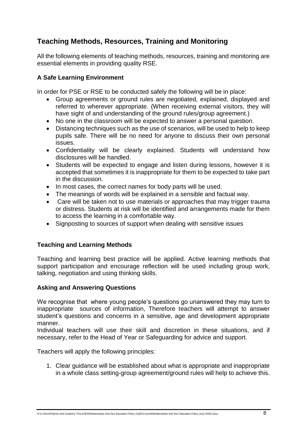## **Teaching Methods, Resources, Training and Monitoring**

All the following elements of teaching methods, resources, training and monitoring are essential elements in providing quality RSE.

#### **A Safe Learning Environment**

In order for PSE or RSE to be conducted safely the following will be in place:

- Group agreements or ground rules are negotiated, explained, displayed and referred to wherever appropriate. (When receiving external visitors, they will have sight of and understanding of the ground rules/group agreement.)
- No one in the classroom will be expected to answer a personal question.
- Distancing techniques such as the use of scenarios, will be used to help to keep pupils safe. There will be no need for anyone to discuss their own personal issues.
- Confidentiality will be clearly explained. Students will understand how disclosures will be handled.
- Students will be expected to engage and listen during lessons, however it is accepted that sometimes it is inappropriate for them to be expected to take part in the discussion.
- In most cases, the correct names for body parts will be used.
- The meanings of words will be explained in a sensible and factual way.
- Care will be taken not to use materials or approaches that may trigger trauma or distress. Students at risk will be identified and arrangements made for them to access the learning in a comfortable way.
- Signposting to sources of support when dealing with sensitive issues

#### **Teaching and Learning Methods**

Teaching and learning best practice will be applied. Active learning methods that support participation and encourage reflection will be used including group work, talking, negotiation and using thinking skills.

#### **Asking and Answering Questions**

We recognise that where young people's questions go unanswered they may turn to inappropriate sources of information, Therefore teachers will attempt to answer student's questions and concerns in a sensitive, age and development appropriate manner.

Individual teachers will use their skill and discretion in these situations, and if necessary, refer to the Head of Year or Safeguarding for advice and support.

Teachers will apply the following principles:

1. Clear guidance will be established about what is appropriate and inappropriate in a whole class setting-group agreement/ground rules will help to achieve this.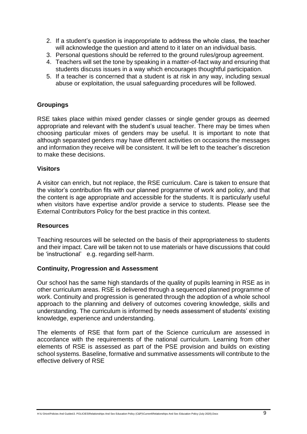- 2. If a student's question is inappropriate to address the whole class, the teacher will acknowledge the question and attend to it later on an individual basis.
- 3. Personal questions should be referred to the ground rules/group agreement.
- 4. Teachers will set the tone by speaking in a matter-of-fact way and ensuring that students discuss issues in a way which encourages thoughtful participation.
- 5. If a teacher is concerned that a student is at risk in any way, including sexual abuse or exploitation, the usual safeguarding procedures will be followed.

#### **Groupings**

RSE takes place within mixed gender classes or single gender groups as deemed appropriate and relevant with the student's usual teacher. There may be times when choosing particular mixes of genders may be useful. It is important to note that although separated genders may have different activities on occasions the messages and information they receive will be consistent. It will be left to the teacher's discretion to make these decisions.

#### **Visitors**

A visitor can enrich, but not replace, the RSE curriculum. Care is taken to ensure that the visitor's contribution fits with our planned programme of work and policy, and that the content is age appropriate and accessible for the students. It is particularly useful when visitors have expertise and/or provide a service to students. Please see the External Contributors Policy for the best practice in this context.

#### **Resources**

Teaching resources will be selected on the basis of their appropriateness to students and their impact. Care will be taken not to use materials or have discussions that could be 'instructional' e.g. regarding self-harm.

#### **Continuity, Progression and Assessment**

Our school has the same high standards of the quality of pupils learning in RSE as in other curriculum areas. RSE is delivered through a sequenced planned programme of work. Continuity and progression is generated through the adoption of a whole school approach to the planning and delivery of outcomes covering knowledge, skills and understanding. The curriculum is informed by needs assessment of students' existing knowledge, experience and understanding.

The elements of RSE that form part of the Science curriculum are assessed in accordance with the requirements of the national curriculum. Learning from other elements of RSE is assessed as part of the PSE provision and builds on existing school systems. Baseline, formative and summative assessments will contribute to the effective delivery of RSE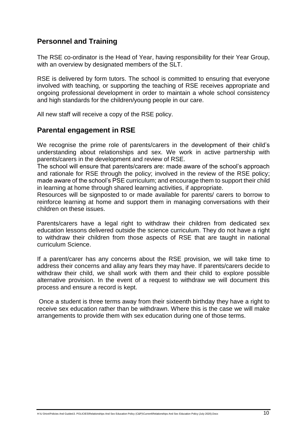## **Personnel and Training**

The RSE co-ordinator is the Head of Year, having responsibility for their Year Group, with an overview by designated members of the SLT.

RSE is delivered by form tutors. The school is committed to ensuring that everyone involved with teaching, or supporting the teaching of RSE receives appropriate and ongoing professional development in order to maintain a whole school consistency and high standards for the children/young people in our care.

All new staff will receive a copy of the RSE policy.

### **Parental engagement in RSE**

We recognise the prime role of parents/carers in the development of their child's understanding about relationships and sex. We work in active partnership with parents/carers in the development and review of RSE.

The school will ensure that parents/carers are: made aware of the school's approach and rationale for RSE through the policy; involved in the review of the RSE policy; made aware of the school's PSE curriculum; and encourage them to support their child in learning at home through shared learning activities, if appropriate.

Resources will be signposted to or made available for parents/ carers to borrow to reinforce learning at home and support them in managing conversations with their children on these issues.

Parents/carers have a legal right to withdraw their children from dedicated sex education lessons delivered outside the science curriculum. They do not have a right to withdraw their children from those aspects of RSE that are taught in national curriculum Science.

If a parent/carer has any concerns about the RSE provision, we will take time to address their concerns and allay any fears they may have. If parents/carers decide to withdraw their child, we shall work with them and their child to explore possible alternative provision. In the event of a request to withdraw we will document this process and ensure a record is kept.

Once a student is three terms away from their sixteenth birthday they have a right to receive sex education rather than be withdrawn. Where this is the case we will make arrangements to provide them with sex education during one of those terms.